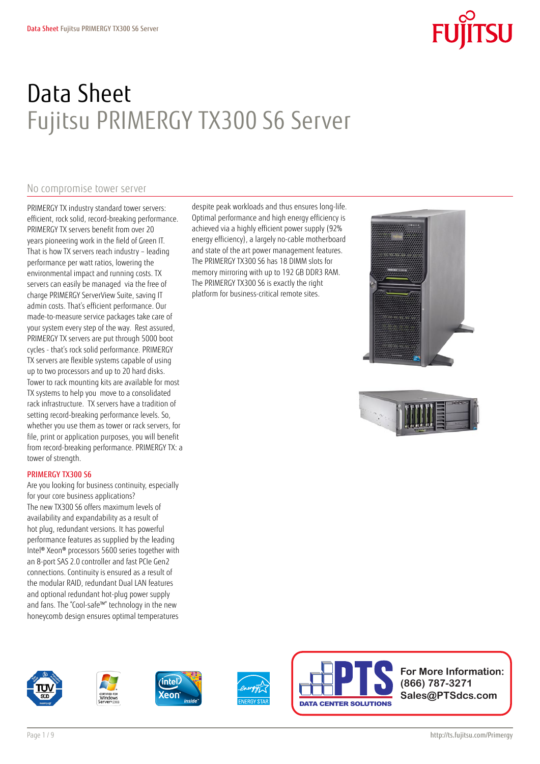# Data Sheet Fujitsu PRIMERGY TX300 S6 Server

despite peak workloads and thus ensures long-life. Optimal performance and high energy efficiency is achieved via a highly efficient power supply (92% energy efficiency), a largely no-cable motherboard and state of the art power management features. The PRIMERGY TX300 S6 has 18 DIMM slots for memory mirroring with up to 192 GB DDR3 RAM. The PRIMERGY TX300 S6 is exactly the right platform for business-critical remote sites.

### No compromise tower server

PRIMERGY TX industry standard tower servers: efficient, rock solid, record-breaking performance. PRIMERGY TX servers benefit from over 20 years pioneering work in the field of Green IT. That is how TX servers reach industry – leading performance per watt ratios, lowering the environmental impact and running costs. TX servers can easily be managed via the free of charge PRIMERGY ServerView Suite, saving IT admin costs. That's efficient performance. Our made-to-measure service packages take care of your system every step of the way. Rest assured, PRIMERGY TX servers are put through 5000 boot cycles - that's rock solid performance. PRIMERGY TX servers are flexible systems capable of using up to two processors and up to 20 hard disks. Tower to rack mounting kits are available for most TX systems to help you move to a consolidated rack infrastructure. TX servers have a tradition of setting record-breaking performance levels. So, whether you use them as tower or rack servers, for file, print or application purposes, you will benefit from record-breaking performance. PRIMERGY TX: a tower of strength.

#### PRIMERGY TX300 S6

Are you looking for business continuity, especially for your core business applications? The new TX300 S6 offers maximum levels of availability and expandability as a result of hot plug, redundant versions. It has powerful performance features as supplied by the leading Intel® Xeon® processors 5600 series together with an 8-port SAS 2.0 controller and fast PCIe Gen2 connections. Continuity is ensured as a result of the modular RAID, redundant Dual LAN features and optional redundant hot-plug power supply and fans. The "Cool-safe™" technology in the new honeycomb design ensures optimal temperatures











**For More Information: (866) 787-3271 Sales@PTSdcs.com**



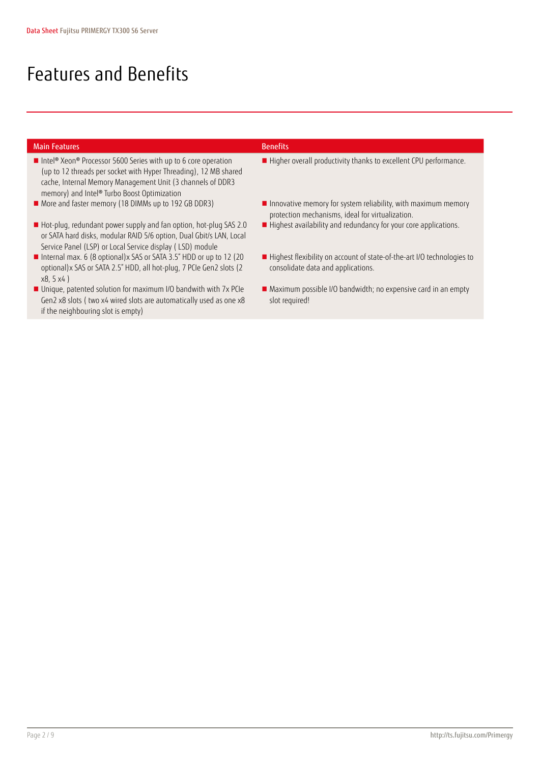if the neighbouring slot is empty)

# Features and Benefits

| <b>Main Features</b>                                                                                                                                                                                                                                                    | <b>Benefits</b>                                                                                                   |
|-------------------------------------------------------------------------------------------------------------------------------------------------------------------------------------------------------------------------------------------------------------------------|-------------------------------------------------------------------------------------------------------------------|
| Intel <sup>®</sup> Xeon <sup>®</sup> Processor 5600 Series with up to 6 core operation<br>(up to 12 threads per socket with Hyper Threading), 12 MB shared<br>cache, Internal Memory Management Unit (3 channels of DDR3<br>memory) and Intel® Turbo Boost Optimization | Higher overall productivity thanks to excellent CPU performance.                                                  |
| More and faster memory (18 DIMMs up to 192 GB DDR3)                                                                                                                                                                                                                     | Innovative memory for system reliability, with maximum memory<br>protection mechanisms, ideal for virtualization. |
| Hot-plug, redundant power supply and fan option, hot-plug SAS 2.0<br>or SATA hard disks, modular RAID 5/6 option, Dual Gbit/s LAN, Local<br>Service Panel (LSP) or Local Service display (LSD) module                                                                   | Highest availability and redundancy for your core applications.                                                   |
| Internal max. 6 (8 optional) x SAS or SATA 3.5" HDD or up to 12 (20<br>optional) x SAS or SATA 2.5" HDD, all hot-plug, 7 PCIe Gen2 slots (2<br>x8, 5x4                                                                                                                  | Highest flexibility on account of state-of-the-art I/O technologies to<br>consolidate data and applications.      |
| ■ Unique, patented solution for maximum I/O bandwith with 7x PCIe<br>Gen2 x8 slots (two x4 wired slots are automatically used as one x8                                                                                                                                 | Maximum possible I/O bandwidth; no expensive card in an empty<br>slot required!                                   |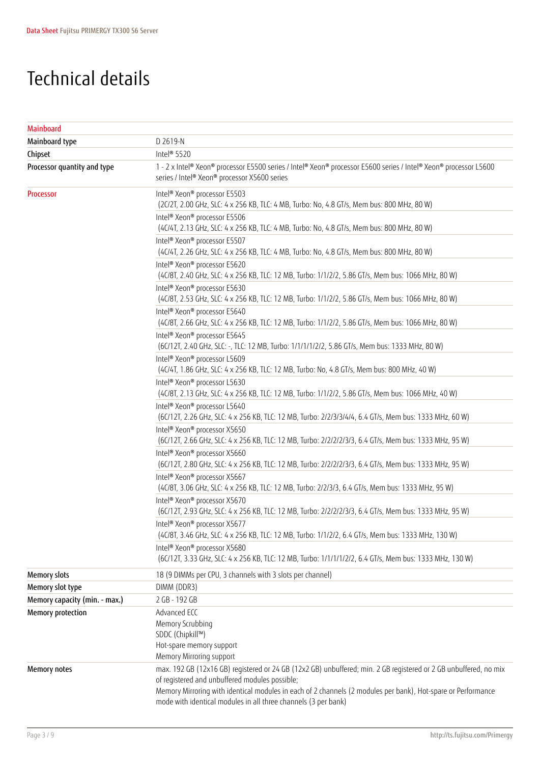## Technical details

| Mainboard                     |                                                                                                                                                                                                                                                                                                                                                      |
|-------------------------------|------------------------------------------------------------------------------------------------------------------------------------------------------------------------------------------------------------------------------------------------------------------------------------------------------------------------------------------------------|
| Mainboard type                | D 2619-N                                                                                                                                                                                                                                                                                                                                             |
| Chipset                       | Intel® 5520                                                                                                                                                                                                                                                                                                                                          |
| Processor quantity and type   | 1 - 2 x Intel® Xeon® processor E5500 series / Intel® Xeon® processor E5600 series / Intel® Xeon® processor L5600<br>series / Intel® Xeon® processor X5600 series                                                                                                                                                                                     |
| Processor                     | Intel <sup>®</sup> Xeon <sup>®</sup> processor E5503<br>(2C/2T, 2.00 GHz, SLC: 4 x 256 KB, TLC: 4 MB, Turbo: No, 4.8 GT/s, Mem bus: 800 MHz, 80 W)                                                                                                                                                                                                   |
|                               | Intel® Xeon® processor E5506<br>(4C/4T, 2.13 GHz, SLC: 4 x 256 KB, TLC: 4 MB, Turbo: No, 4.8 GT/s, Mem bus: 800 MHz, 80 W)                                                                                                                                                                                                                           |
|                               | Intel® Xeon® processor E5507<br>(4C/4T, 2.26 GHz, SLC: 4 x 256 KB, TLC: 4 MB, Turbo: No, 4.8 GT/s, Mem bus: 800 MHz, 80 W)                                                                                                                                                                                                                           |
|                               | Intel <sup>®</sup> Xeon <sup>®</sup> processor E5620<br>(4C/8T, 2.40 GHz, SLC: 4 x 256 KB, TLC: 12 MB, Turbo: 1/1/2/2, 5.86 GT/s, Mem bus: 1066 MHz, 80 W)                                                                                                                                                                                           |
|                               | Intel <sup>®</sup> Xeon <sup>®</sup> processor E5630<br>(4C/8T, 2.53 GHz, SLC: 4 x 256 KB, TLC: 12 MB, Turbo: 1/1/2/2, 5.86 GT/s, Mem bus: 1066 MHz, 80 W)                                                                                                                                                                                           |
|                               | Intel® Xeon® processor E5640<br>(4C/8T, 2.66 GHz, SLC: 4 x 256 KB, TLC: 12 MB, Turbo: 1/1/2/2, 5.86 GT/s, Mem bus: 1066 MHz, 80 W)                                                                                                                                                                                                                   |
|                               | Intel <sup>®</sup> Xeon <sup>®</sup> processor E5645<br>(6C/12T, 2.40 GHz, SLC: -, TLC: 12 MB, Turbo: 1/1/1/1/2/2, 5.86 GT/s, Mem bus: 1333 MHz, 80 W)                                                                                                                                                                                               |
|                               | Intel <sup>®</sup> Xeon <sup>®</sup> processor L5609<br>(4C/4T, 1.86 GHz, SLC: 4 x 256 KB, TLC: 12 MB, Turbo: No, 4.8 GT/s, Mem bus: 800 MHz, 40 W)                                                                                                                                                                                                  |
|                               | Intel <sup>®</sup> Xeon <sup>®</sup> processor L5630<br>(4C/8T, 2.13 GHz, SLC: 4 x 256 KB, TLC: 12 MB, Turbo: 1/1/2/2, 5.86 GT/s, Mem bus: 1066 MHz, 40 W)                                                                                                                                                                                           |
|                               | Intel <sup>®</sup> Xeon <sup>®</sup> processor L5640<br>(6C/12T, 2.26 GHz, SLC: 4 x 256 KB, TLC: 12 MB, Turbo: 2/2/3/3/4/4, 6.4 GT/s, Mem bus: 1333 MHz, 60 W)                                                                                                                                                                                       |
|                               | Intel <sup>®</sup> Xeon <sup>®</sup> processor X5650<br>(6C/12T, 2.66 GHz, SLC: 4 x 256 KB, TLC: 12 MB, Turbo: 2/2/2/2/3/3, 6.4 GT/s, Mem bus: 1333 MHz, 95 W)                                                                                                                                                                                       |
|                               | Intel® Xeon® processor X5660<br>(6C/12T, 2.80 GHz, SLC: 4 x 256 KB, TLC: 12 MB, Turbo: 2/2/2/2/3/3, 6.4 GT/s, Mem bus: 1333 MHz, 95 W)                                                                                                                                                                                                               |
|                               | Intel <sup>®</sup> Xeon <sup>®</sup> processor X5667<br>(4C/8T, 3.06 GHz, SLC: 4 x 256 KB, TLC: 12 MB, Turbo: 2/2/3/3, 6.4 GT/s, Mem bus: 1333 MHz, 95 W)                                                                                                                                                                                            |
|                               | Intel® Xeon® processor X5670<br>(6C/12T, 2.93 GHz, SLC: 4 x 256 KB, TLC: 12 MB, Turbo: 2/2/2/2/3/3, 6.4 GT/s, Mem bus: 1333 MHz, 95 W)                                                                                                                                                                                                               |
|                               | Intel <sup>®</sup> Xeon <sup>®</sup> processor X5677<br>(4C/8T, 3.46 GHz, SLC: 4 x 256 KB, TLC: 12 MB, Turbo: 1/1/2/2, 6.4 GT/s, Mem bus: 1333 MHz, 130 W)                                                                                                                                                                                           |
|                               | Intel® Xeon® processor X5680<br>(6C/12T, 3.33 GHz, SLC: 4 x 256 KB, TLC: 12 MB, Turbo: 1/1/1/1/2/2, 6.4 GT/s, Mem bus: 1333 MHz, 130 W)                                                                                                                                                                                                              |
| <b>Memory slots</b>           | 18 (9 DIMMs per CPU, 3 channels with 3 slots per channel)                                                                                                                                                                                                                                                                                            |
| Memory slot type              | DIMM (DDR3)                                                                                                                                                                                                                                                                                                                                          |
| Memory capacity (min. - max.) | 2 GB - 192 GB                                                                                                                                                                                                                                                                                                                                        |
| Memory protection             | Advanced ECC<br>Memory Scrubbing<br>SDDC (Chipkill™)<br>Hot-spare memory support<br>Memory Mirroring support                                                                                                                                                                                                                                         |
| Memory notes                  | max. 192 GB (12x16 GB) registered or 24 GB (12x2 GB) unbuffered; min. 2 GB registered or 2 GB unbuffered, no mix<br>of registered and unbuffered modules possible;<br>Memory Mirroring with identical modules in each of 2 channels (2 modules per bank), Hot-spare or Performance<br>mode with identical modules in all three channels (3 per bank) |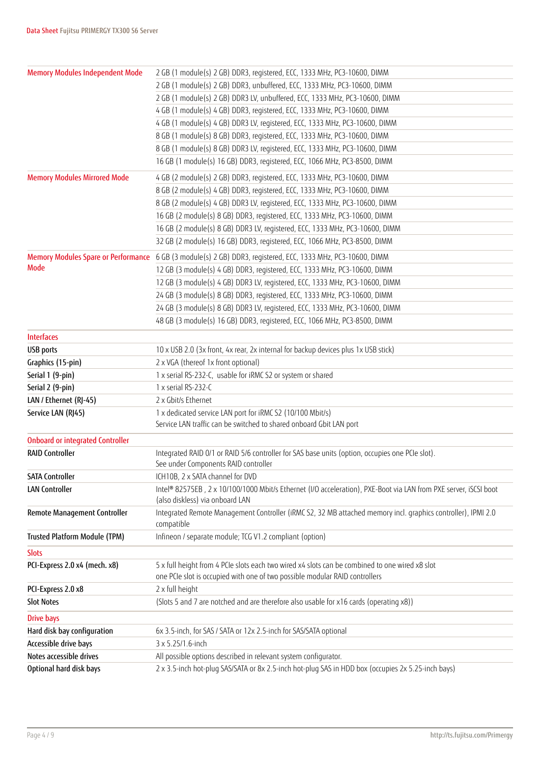| <b>Memory Modules Independent Mode</b>     | 2 GB (1 module(s) 2 GB) DDR3, registered, ECC, 1333 MHz, PC3-10600, DIMM                                                                                                      |
|--------------------------------------------|-------------------------------------------------------------------------------------------------------------------------------------------------------------------------------|
|                                            | 2 GB (1 module(s) 2 GB) DDR3, unbuffered, ECC, 1333 MHz, PC3-10600, DIMM                                                                                                      |
|                                            | 2 GB (1 module(s) 2 GB) DDR3 LV, unbuffered, ECC, 1333 MHz, PC3-10600, DIMM                                                                                                   |
|                                            | 4 GB (1 module(s) 4 GB) DDR3, registered, ECC, 1333 MHz, PC3-10600, DIMM                                                                                                      |
|                                            | 4 GB (1 module(s) 4 GB) DDR3 LV, registered, ECC, 1333 MHz, PC3-10600, DIMM                                                                                                   |
|                                            | 8 GB (1 module(s) 8 GB) DDR3, registered, ECC, 1333 MHz, PC3-10600, DIMM                                                                                                      |
|                                            | 8 GB (1 module(s) 8 GB) DDR3 LV, registered, ECC, 1333 MHz, PC3-10600, DIMM                                                                                                   |
|                                            | 16 GB (1 module(s) 16 GB) DDR3, registered, ECC, 1066 MHz, PC3-8500, DIMM                                                                                                     |
| <b>Memory Modules Mirrored Mode</b>        | 4 GB (2 module(s) 2 GB) DDR3, registered, ECC, 1333 MHz, PC3-10600, DIMM                                                                                                      |
|                                            | 8 GB (2 module(s) 4 GB) DDR3, registered, ECC, 1333 MHz, PC3-10600, DIMM                                                                                                      |
|                                            | 8 GB (2 module(s) 4 GB) DDR3 LV, registered, ECC, 1333 MHz, PC3-10600, DIMM                                                                                                   |
|                                            | 16 GB (2 module(s) 8 GB) DDR3, registered, ECC, 1333 MHz, PC3-10600, DIMM                                                                                                     |
|                                            | 16 GB (2 module(s) 8 GB) DDR3 LV, registered, ECC, 1333 MHz, PC3-10600, DIMM                                                                                                  |
|                                            | 32 GB (2 module(s) 16 GB) DDR3, registered, ECC, 1066 MHz, PC3-8500, DIMM                                                                                                     |
| <b>Memory Modules Spare or Performance</b> | 6 GB (3 module(s) 2 GB) DDR3, registered, ECC, 1333 MHz, PC3-10600, DIMM                                                                                                      |
| <b>Mode</b>                                | 12 GB (3 module(s) 4 GB) DDR3, registered, ECC, 1333 MHz, PC3-10600, DIMM                                                                                                     |
|                                            | 12 GB (3 module(s) 4 GB) DDR3 LV, registered, ECC, 1333 MHz, PC3-10600, DIMM                                                                                                  |
|                                            | 24 GB (3 module(s) 8 GB) DDR3, registered, ECC, 1333 MHz, PC3-10600, DIMM                                                                                                     |
|                                            | 24 GB (3 module(s) 8 GB) DDR3 LV, registered, ECC, 1333 MHz, PC3-10600, DIMM                                                                                                  |
|                                            | 48 GB (3 module(s) 16 GB) DDR3, registered, ECC, 1066 MHz, PC3-8500, DIMM                                                                                                     |
| <b>Interfaces</b>                          |                                                                                                                                                                               |
| <b>USB</b> ports                           | 10 x USB 2.0 (3x front, 4x rear, 2x internal for backup devices plus 1x USB stick)                                                                                            |
| Graphics (15-pin)                          | 2 x VGA (thereof 1x front optional)                                                                                                                                           |
| Serial 1 (9-pin)                           | 1 x serial RS-232-C, usable for iRMC S2 or system or shared                                                                                                                   |
| Serial 2 (9-pin)                           | 1 x serial RS-232-C                                                                                                                                                           |
| LAN / Ethernet (RJ-45)                     | 2 x Gbit/s Ethernet                                                                                                                                                           |
| Service LAN (RJ45)                         | 1 x dedicated service LAN port for iRMC S2 (10/100 Mbit/s)                                                                                                                    |
|                                            | Service LAN traffic can be switched to shared onboard Gbit LAN port                                                                                                           |
| <b>Onboard or integrated Controller</b>    |                                                                                                                                                                               |
| <b>RAID Controller</b>                     | Integrated RAID 0/1 or RAID 5/6 controller for SAS base units (option, occupies one PCIe slot).<br>See under Components RAID controller                                       |
| <b>SATA Controller</b>                     | ICH10B, 2 x SATA channel for DVD                                                                                                                                              |
| <b>LAN Controller</b>                      | Intel® 82575EB, 2 x 10/100/1000 Mbit/s Ethernet (I/O acceleration), PXE-Boot via LAN from PXE server, iSCSI boot<br>(also diskless) via onboard LAN                           |
| Remote Management Controller               | Integrated Remote Management Controller (iRMC S2, 32 MB attached memory incl. graphics controller), IPMI 2.0<br>compatible                                                    |
| Trusted Platform Module (TPM)              | Infineon / separate module; TCG V1.2 compliant (option)                                                                                                                       |
| <b>Slots</b>                               |                                                                                                                                                                               |
| PCI-Express 2.0 x4 (mech. x8)              | 5 x full height from 4 PCIe slots each two wired x4 slots can be combined to one wired x8 slot<br>one PCIe slot is occupied with one of two possible modular RAID controllers |
| PCI-Express 2.0 x8                         | 2 x full height                                                                                                                                                               |
| <b>Slot Notes</b>                          | (Slots 5 and 7 are notched and are therefore also usable for x16 cards (operating x8))                                                                                        |
| <b>Drive bays</b>                          |                                                                                                                                                                               |
| Hard disk bay configuration                | 6x 3.5-inch, for SAS / SATA or 12x 2.5-inch for SAS/SATA optional                                                                                                             |
| Accessible drive bays                      | 3 x 5.25/1.6-inch                                                                                                                                                             |
| Notes accessible drives                    | All possible options described in relevant system configurator.                                                                                                               |
| Optional hard disk bays                    | 2 x 3.5-inch hot-plug SAS/SATA or 8x 2.5-inch hot-plug SAS in HDD box (occupies 2x 5.25-inch bays)                                                                            |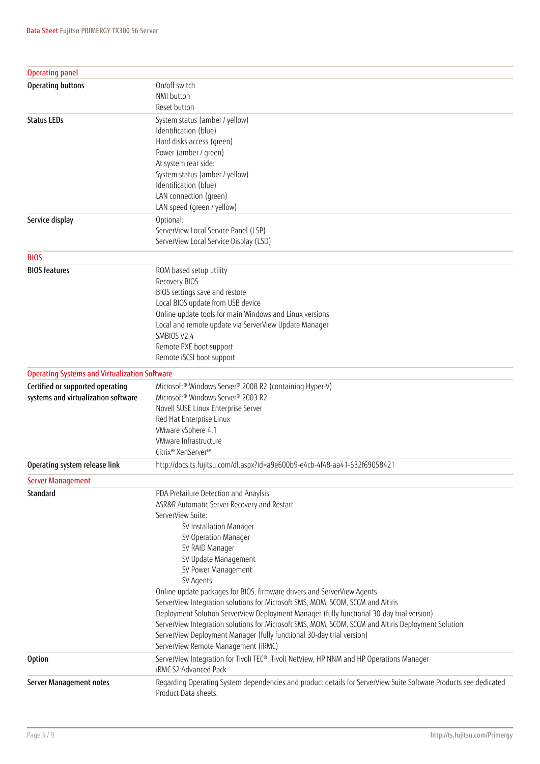| <b>Operating panel</b>                               |                                                                                                                  |
|------------------------------------------------------|------------------------------------------------------------------------------------------------------------------|
| Operating buttons                                    | On/off switch                                                                                                    |
|                                                      | NMI button                                                                                                       |
|                                                      | Reset button                                                                                                     |
| <b>Status LEDs</b>                                   | System status (amber / yellow)                                                                                   |
|                                                      | Identification (blue)                                                                                            |
|                                                      | Hard disks access (green)                                                                                        |
|                                                      | Power (amber / green)                                                                                            |
|                                                      | At system rear side:                                                                                             |
|                                                      | System status (amber / yellow)                                                                                   |
|                                                      | Identification (blue)<br>LAN connection (green)                                                                  |
|                                                      | LAN speed (green / yellow)                                                                                       |
| Service display                                      | Optional:                                                                                                        |
|                                                      | ServerView Local Service Panel (LSP)                                                                             |
|                                                      | ServerView Local Service Display (LSD)                                                                           |
|                                                      |                                                                                                                  |
| <b>BIOS</b>                                          |                                                                                                                  |
| <b>BIOS</b> features                                 | ROM based setup utility                                                                                          |
|                                                      | Recovery BIOS                                                                                                    |
|                                                      | BIOS settings save and restore                                                                                   |
|                                                      | Local BIOS update from USB device<br>Online update tools for main Windows and Linux versions                     |
|                                                      | Local and remote update via ServerView Update Manager                                                            |
|                                                      | SMBIOS V2.4                                                                                                      |
|                                                      | Remote PXE boot support                                                                                          |
|                                                      | Remote iSCSI boot support                                                                                        |
| <b>Operating Systems and Virtualization Software</b> |                                                                                                                  |
| Certified or supported operating                     | Microsoft® Windows Server® 2008 R2 (containing Hyper-V)                                                          |
| systems and virtualization software                  | Microsoft <sup>®</sup> Windows Server <sup>®</sup> 2003 R2                                                       |
|                                                      | Novell SUSE Linux Enterprise Server                                                                              |
|                                                      | Red Hat Enterprise Linux                                                                                         |
|                                                      | VMware vSphere 4.1                                                                                               |
|                                                      | VMware Infrastructure                                                                                            |
|                                                      | Citrix® XenServer™                                                                                               |
| Operating system release link                        | http://docs.ts.fujitsu.com/dl.aspx?id=a9e600b9-e4cb-4f48-aa41-632f69058421                                       |
| <b>Server Management</b>                             |                                                                                                                  |
| Standard                                             | PDA Prefailure Detection and Anaylsis                                                                            |
|                                                      | ASR&R Automatic Server Recovery and Restart                                                                      |
|                                                      | ServerView Suite:                                                                                                |
|                                                      | SV Installation Manager                                                                                          |
|                                                      | SV Operation Manager                                                                                             |
|                                                      | SV RAID Manager                                                                                                  |
|                                                      | SV Update Management                                                                                             |
|                                                      | SV Power Management<br>SV Agents                                                                                 |
|                                                      | Online update packages for BIOS, firmware drivers and ServerView Agents                                          |
|                                                      | ServerView Integration solutions for Microsoft SMS, MOM, SCOM, SCCM and Altiris                                  |
|                                                      | Deployment Solution ServerView Deployment Manager (fully functional 30-day trial version)                        |
|                                                      | ServerView Integration solutions for Microsoft SMS, MOM, SCOM, SCCM and Altiris Deployment Solution              |
|                                                      | ServerView Deployment Manager (fully functional 30-day trial version)                                            |
|                                                      | ServerView Remote Management (iRMC)                                                                              |
| <b>Option</b>                                        | ServerView Integration for Tivoli TEC®, Tivoli NetView, HP NNM and HP Operations Manager                         |
|                                                      | iRMC S2 Advanced Pack                                                                                            |
| Server Management notes                              | Regarding Operating System dependencies and product details for ServerView Suite Software Products see dedicated |
|                                                      | Product Data sheets.                                                                                             |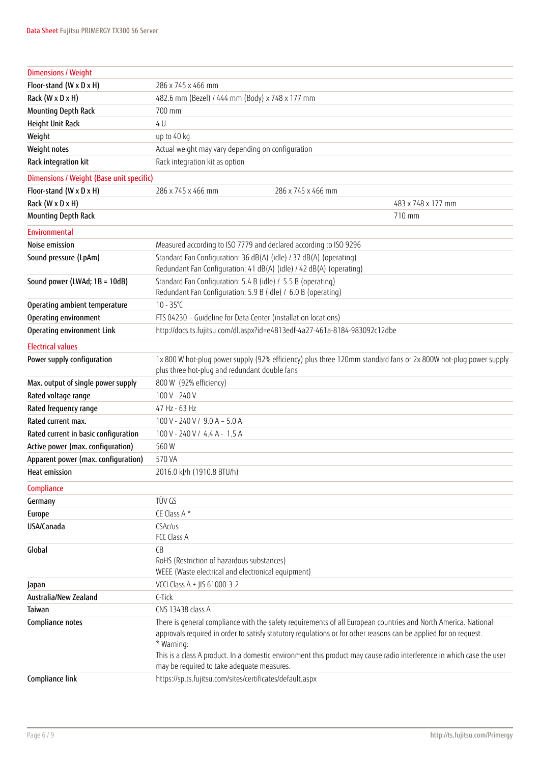| <b>Dimensions / Weight</b>               |                                                                                                                                                                                                                                                                                                                                                                                                                         |
|------------------------------------------|-------------------------------------------------------------------------------------------------------------------------------------------------------------------------------------------------------------------------------------------------------------------------------------------------------------------------------------------------------------------------------------------------------------------------|
| Floor-stand (W x D x H)                  | 286 x 745 x 466 mm                                                                                                                                                                                                                                                                                                                                                                                                      |
| Rack (W x D x H)                         | 482.6 mm (Bezel) / 444 mm (Body) x 748 x 177 mm                                                                                                                                                                                                                                                                                                                                                                         |
| <b>Mounting Depth Rack</b>               | 700 mm                                                                                                                                                                                                                                                                                                                                                                                                                  |
| Height Unit Rack                         | 4 U                                                                                                                                                                                                                                                                                                                                                                                                                     |
| Weight                                   | up to 40 kg                                                                                                                                                                                                                                                                                                                                                                                                             |
| Weight notes                             | Actual weight may vary depending on configuration                                                                                                                                                                                                                                                                                                                                                                       |
| Rack integration kit                     | Rack integration kit as option                                                                                                                                                                                                                                                                                                                                                                                          |
|                                          |                                                                                                                                                                                                                                                                                                                                                                                                                         |
| Dimensions / Weight (Base unit specific) |                                                                                                                                                                                                                                                                                                                                                                                                                         |
| Floor-stand (W x D x H)                  | 286 x 745 x 466 mm<br>286 x 745 x 466 mm                                                                                                                                                                                                                                                                                                                                                                                |
| Rack (W x D x H)                         | 483 x 748 x 177 mm                                                                                                                                                                                                                                                                                                                                                                                                      |
| <b>Mounting Depth Rack</b>               | 710 mm                                                                                                                                                                                                                                                                                                                                                                                                                  |
| <b>Environmental</b>                     |                                                                                                                                                                                                                                                                                                                                                                                                                         |
| Noise emission                           | Measured according to ISO 7779 and declared according to ISO 9296                                                                                                                                                                                                                                                                                                                                                       |
| Sound pressure (LpAm)                    | Standard Fan Configuration: 36 dB(A) (idle) / 37 dB(A) (operating)<br>Redundant Fan Configuration: 41 dB(A) (idle) / 42 dB(A) (operating)                                                                                                                                                                                                                                                                               |
| Sound power (LWAd; 1B = 10dB)            | Standard Fan Configuration: 5.4 B (idle) / 5.5 B (operating)<br>Redundant Fan Configuration: 5.9 B (idle) / 6.0 B (operating)                                                                                                                                                                                                                                                                                           |
| Operating ambient temperature            | $10 - 35^{\circ}C$                                                                                                                                                                                                                                                                                                                                                                                                      |
| Operating environment                    | FTS 04230 - Guideline for Data Center (installation locations)                                                                                                                                                                                                                                                                                                                                                          |
| Operating environment Link               | http://docs.ts.fujitsu.com/dl.aspx?id=e4813edf-4a27-461a-8184-983092c12dbe                                                                                                                                                                                                                                                                                                                                              |
| <b>Electrical values</b>                 |                                                                                                                                                                                                                                                                                                                                                                                                                         |
| Power supply configuration               | 1x 800 W hot-pluq power supply (92% efficiency) plus three 120mm standard fans or 2x 800W hot-pluq power supply<br>plus three hot-plug and redundant double fans                                                                                                                                                                                                                                                        |
| Max. output of single power supply       | 800 W (92% efficiency)                                                                                                                                                                                                                                                                                                                                                                                                  |
| Rated voltage range                      | 100 V - 240 V                                                                                                                                                                                                                                                                                                                                                                                                           |
| Rated frequency range                    | 47 Hz - 63 Hz                                                                                                                                                                                                                                                                                                                                                                                                           |
| Rated current max.                       | $100$ V - 240 V / 9.0 A - 5.0 A                                                                                                                                                                                                                                                                                                                                                                                         |
| Rated current in basic configuration     | 100 V - 240 V / 4.4 A - 1.5 A                                                                                                                                                                                                                                                                                                                                                                                           |
| Active power (max. configuration)        | 560W                                                                                                                                                                                                                                                                                                                                                                                                                    |
| Apparent power (max. configuration)      | 570 VA                                                                                                                                                                                                                                                                                                                                                                                                                  |
| Heat emission                            | 2016.0 kJ/h (1910.8 BTU/h)                                                                                                                                                                                                                                                                                                                                                                                              |
| Compliance                               |                                                                                                                                                                                                                                                                                                                                                                                                                         |
| Germany                                  | TÜV GS                                                                                                                                                                                                                                                                                                                                                                                                                  |
| Europe                                   | CE Class A*                                                                                                                                                                                                                                                                                                                                                                                                             |
| USA/Canada                               | CSAc/us<br>FCC Class A                                                                                                                                                                                                                                                                                                                                                                                                  |
| Global                                   | CB<br>RoHS (Restriction of hazardous substances)<br>WEEE (Waste electrical and electronical equipment)                                                                                                                                                                                                                                                                                                                  |
| Japan                                    | VCCI Class A + JIS 61000-3-2                                                                                                                                                                                                                                                                                                                                                                                            |
| Australia/New Zealand                    | C-Tick                                                                                                                                                                                                                                                                                                                                                                                                                  |
| Taiwan                                   | CNS 13438 class A                                                                                                                                                                                                                                                                                                                                                                                                       |
| Compliance notes                         | There is general compliance with the safety requirements of all European countries and North America. National<br>approvals required in order to satisfy statutory regulations or for other reasons can be applied for on request.<br>* Warning:<br>This is a class A product. In a domestic environment this product may cause radio interference in which case the user<br>may be required to take adequate measures. |
| Compliance link                          | https://sp.ts.fujitsu.com/sites/certificates/default.aspx                                                                                                                                                                                                                                                                                                                                                               |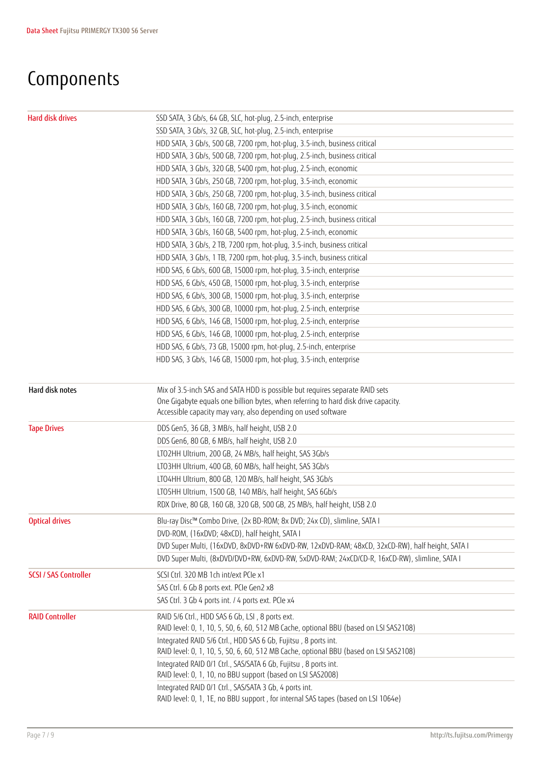# Components

| Hard disk drives             | SSD SATA, 3 Gb/s, 64 GB, SLC, hot-plug, 2.5-inch, enterprise                                   |
|------------------------------|------------------------------------------------------------------------------------------------|
|                              | SSD SATA, 3 Gb/s, 32 GB, SLC, hot-plug, 2.5-inch, enterprise                                   |
|                              | HDD SATA, 3 Gb/s, 500 GB, 7200 rpm, hot-plug, 3.5-inch, business critical                      |
|                              | HDD SATA, 3 Gb/s, 500 GB, 7200 rpm, hot-plug, 2.5-inch, business critical                      |
|                              | HDD SATA, 3 Gb/s, 320 GB, 5400 rpm, hot-plug, 2.5-inch, economic                               |
|                              | HDD SATA, 3 Gb/s, 250 GB, 7200 rpm, hot-plug, 3.5-inch, economic                               |
|                              | HDD SATA, 3 Gb/s, 250 GB, 7200 rpm, hot-plug, 3.5-inch, business critical                      |
|                              | HDD SATA, 3 Gb/s, 160 GB, 7200 rpm, hot-plug, 3.5-inch, economic                               |
|                              | HDD SATA, 3 Gb/s, 160 GB, 7200 rpm, hot-plug, 2.5-inch, business critical                      |
|                              | HDD SATA, 3 Gb/s, 160 GB, 5400 rpm, hot-plug, 2.5-inch, economic                               |
|                              | HDD SATA, 3 Gb/s, 2 TB, 7200 rpm, hot-plug, 3.5-inch, business critical                        |
|                              | HDD SATA, 3 Gb/s, 1 TB, 7200 rpm, hot-plug, 3.5-inch, business critical                        |
|                              | HDD SAS, 6 Gb/s, 600 GB, 15000 rpm, hot-plug, 3.5-inch, enterprise                             |
|                              | HDD SAS, 6 Gb/s, 450 GB, 15000 rpm, hot-plug, 3.5-inch, enterprise                             |
|                              | HDD SAS, 6 Gb/s, 300 GB, 15000 rpm, hot-plug, 3.5-inch, enterprise                             |
|                              | HDD SAS, 6 Gb/s, 300 GB, 10000 rpm, hot-plug, 2.5-inch, enterprise                             |
|                              | HDD SAS, 6 Gb/s, 146 GB, 15000 rpm, hot-plug, 2.5-inch, enterprise                             |
|                              | HDD SAS, 6 Gb/s, 146 GB, 10000 rpm, hot-plug, 2.5-inch, enterprise                             |
|                              | HDD SAS, 6 Gb/s, 73 GB, 15000 rpm, hot-plug, 2.5-inch, enterprise                              |
|                              | HDD SAS, 3 Gb/s, 146 GB, 15000 rpm, hot-plug, 3.5-inch, enterprise                             |
|                              |                                                                                                |
| Hard disk notes              | Mix of 3.5-inch SAS and SATA HDD is possible but requires separate RAID sets                   |
|                              | One Gigabyte equals one billion bytes, when referring to hard disk drive capacity.             |
|                              | Accessible capacity may vary, also depending on used software                                  |
| <b>Tape Drives</b>           | DDS Gen5, 36 GB, 3 MB/s, half height, USB 2.0                                                  |
|                              | DDS Gen6, 80 GB, 6 MB/s, half height, USB 2.0                                                  |
|                              | LTO2HH Ultrium, 200 GB, 24 MB/s, half height, SAS 3Gb/s                                        |
|                              | LTO3HH Ultrium, 400 GB, 60 MB/s, half height, SAS 3Gb/s                                        |
|                              | LTO4HH Ultrium, 800 GB, 120 MB/s, half height, SAS 3Gb/s                                       |
|                              | LTO5HH Ultrium, 1500 GB, 140 MB/s, half height, SAS 6Gb/s                                      |
|                              | RDX Drive, 80 GB, 160 GB, 320 GB, 500 GB, 25 MB/s, half height, USB 2.0                        |
| <b>Optical drives</b>        | Blu-ray Disc <sup>™</sup> Combo Drive, (2x BD-ROM; 8x DVD; 24x CD), slimline, SATA I           |
|                              | DVD-ROM, (16xDVD; 48xCD), half height, SATA I                                                  |
|                              | DVD Super Multi, (16xDVD, 8xDVD+RW 6xDVD-RW, 12xDVD-RAM; 48xCD, 32xCD-RW), half height, SATA I |
|                              | DVD Super Multi, (8xDVD/DVD+RW, 6xDVD-RW, 5xDVD-RAM; 24xCD/CD-R, 16xCD-RW), slimline, SATA I   |
| <b>SCSI / SAS Controller</b> | SCSI Ctrl. 320 MB 1ch int/ext PCIe x1                                                          |
|                              | SAS Ctrl. 6 Gb 8 ports ext. PCIe Gen2 x8                                                       |
|                              | SAS Ctrl. 3 Gb 4 ports int. / 4 ports ext. PCIe x4                                             |
| <b>RAID Controller</b>       | RAID 5/6 Ctrl., HDD SAS 6 Gb, LSI, 8 ports ext.                                                |
|                              | RAID level: 0, 1, 10, 5, 50, 6, 60, 512 MB Cache, optional BBU (based on LSI SAS2108)          |
|                              | Integrated RAID 5/6 Ctrl., HDD SAS 6 Gb, Fujitsu, 8 ports int.                                 |
|                              | RAID level: 0, 1, 10, 5, 50, 6, 60, 512 MB Cache, optional BBU (based on LSI SAS2108)          |
|                              | Integrated RAID 0/1 Ctrl., SAS/SATA 6 Gb, Fujitsu, 8 ports int.                                |
|                              | RAID level: 0, 1, 10, no BBU support (based on LSI SAS2008)                                    |
|                              | Integrated RAID 0/1 Ctrl., SAS/SATA 3 Gb, 4 ports int.                                         |
|                              | RAID level: 0, 1, 1E, no BBU support, for internal SAS tapes (based on LSI 1064e)              |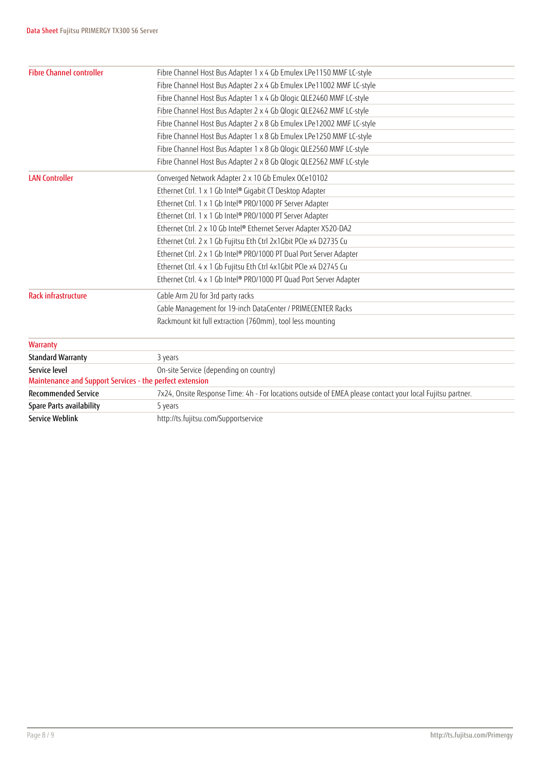| <b>Fibre Channel controller</b>                          | Fibre Channel Host Bus Adapter 1 x 4 Gb Emulex LPe1150 MMF LC-style                                       |
|----------------------------------------------------------|-----------------------------------------------------------------------------------------------------------|
|                                                          | Fibre Channel Host Bus Adapter 2 x 4 Gb Emulex LPe11002 MMF LC-style                                      |
|                                                          | Fibre Channel Host Bus Adapter 1 x 4 Gb Qlogic QLE2460 MMF LC-style                                       |
|                                                          | Fibre Channel Host Bus Adapter 2 x 4 Gb Qlogic QLE2462 MMF LC-style                                       |
|                                                          | Fibre Channel Host Bus Adapter 2 x 8 Gb Emulex LPe12002 MMF LC-style                                      |
|                                                          | Fibre Channel Host Bus Adapter 1 x 8 Gb Emulex LPe1250 MMF LC-style                                       |
|                                                          | Fibre Channel Host Bus Adapter 1 x 8 Gb Qlogic QLE2560 MMF LC-style                                       |
|                                                          | Fibre Channel Host Bus Adapter 2 x 8 Gb Qlogic QLE2562 MMF LC-style                                       |
| <b>LAN Controller</b>                                    | Converged Network Adapter 2 x 10 Gb Emulex OCe10102                                                       |
|                                                          | Ethernet Ctrl. 1 x 1 Gb Intel® Gigabit CT Desktop Adapter                                                 |
|                                                          | Ethernet Ctrl. 1 x 1 Gb Intel® PRO/1000 PF Server Adapter                                                 |
|                                                          | Ethernet Ctrl. 1 x 1 Gb Intel® PRO/1000 PT Server Adapter                                                 |
|                                                          | Ethernet Ctrl. 2 x 10 Gb Intel® Ethernet Server Adapter X520-DA2                                          |
|                                                          | Ethernet Ctrl. 2 x 1 Gb Fujitsu Eth Ctrl 2x1Gbit PCIe x4 D2735 Cu                                         |
|                                                          | Ethernet Ctrl. 2 x 1 Gb Intel® PRO/1000 PT Dual Port Server Adapter                                       |
|                                                          | Ethernet Ctrl. 4 x 1 Gb Fujitsu Eth Ctrl 4x1Gbit PCIe x4 D2745 Cu                                         |
|                                                          | Ethernet Ctrl. 4 x 1 Gb Intel® PRO/1000 PT Quad Port Server Adapter                                       |
| Rack infrastructure                                      | Cable Arm 2U for 3rd party racks                                                                          |
|                                                          | Cable Management for 19-inch DataCenter / PRIMECENTER Racks                                               |
|                                                          | Rackmount kit full extraction (760mm), tool less mounting                                                 |
| Warranty                                                 |                                                                                                           |
| <b>Standard Warranty</b>                                 | 3 years                                                                                                   |
| Service level                                            | On-site Service (depending on country)                                                                    |
| Maintenance and Support Services - the perfect extension |                                                                                                           |
| <b>Recommended Service</b>                               | 7x24, Onsite Response Time: 4h - For locations outside of EMEA please contact your local Fujitsu partner. |
| Spare Parts availability                                 | 5 years                                                                                                   |
| Service Weblink                                          | http://ts.fujitsu.com/Supportservice                                                                      |